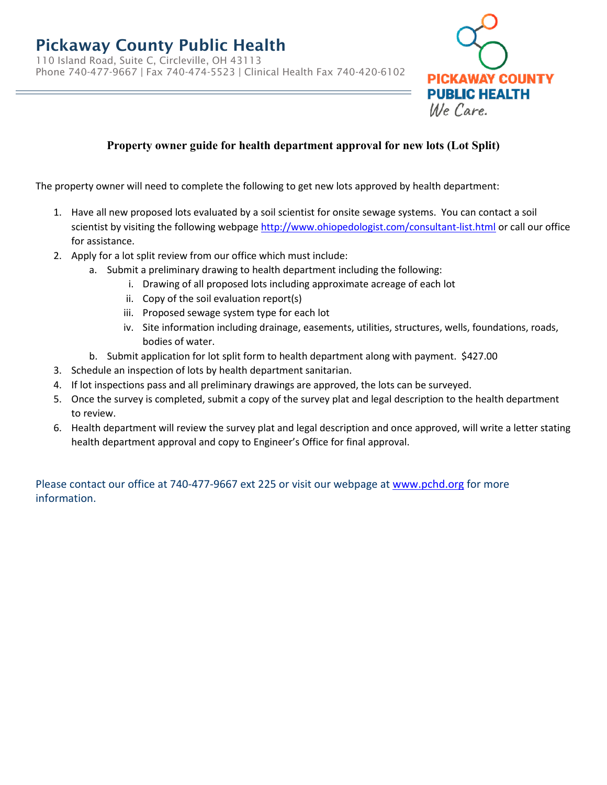# Pickaway County Public Health

110 Island Road, Suite C, Circleville, OH 43113 Phone 740-477-9667 | Fax 740-474-5523 | Clinical Health Fax 740-420-6102



## **Property owner guide for health department approval for new lots (Lot Split)**

The property owner will need to complete the following to get new lots approved by health department:

- 1. Have all new proposed lots evaluated by a soil scientist for onsite sewage systems. You can contact a soil scientist by visiting the following webpage<http://www.ohiopedologist.com/consultant-list.html> or call our office for assistance.
- 2. Apply for a lot split review from our office which must include:
	- a. Submit a preliminary drawing to health department including the following:
		- i. Drawing of all proposed lots including approximate acreage of each lot
		- ii. Copy of the soil evaluation report(s)
		- iii. Proposed sewage system type for each lot
		- iv. Site information including drainage, easements, utilities, structures, wells, foundations, roads, bodies of water.
	- b. Submit application for lot split form to health department along with payment. \$427.00
- 3. Schedule an inspection of lots by health department sanitarian.
- 4. If lot inspections pass and all preliminary drawings are approved, the lots can be surveyed.
- 5. Once the survey is completed, submit a copy of the survey plat and legal description to the health department to review.
- 6. Health department will review the survey plat and legal description and once approved, will write a letter stating health department approval and copy to Engineer's Office for final approval.

Please contact our office at 740-477-9667 ext 225 or visit our webpage at [www.pchd.org](http://www.pchd.org/) for more information.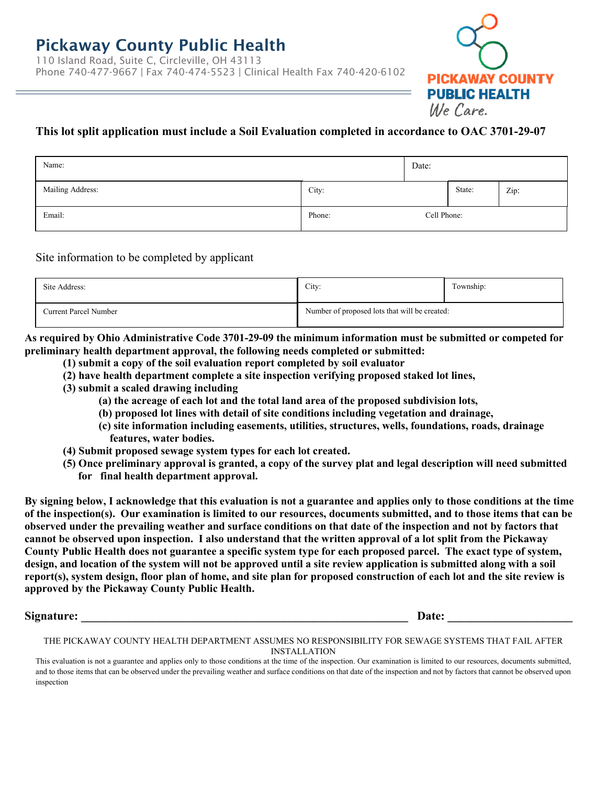

### **This lot split application must include a Soil Evaluation completed in accordance to OAC 3701-29-07**

| Name:            |        | Date:       |        |      |
|------------------|--------|-------------|--------|------|
| Mailing Address: | City:  |             | State: | Zip: |
| Email:           | Phone: | Cell Phone: |        |      |

### Site information to be completed by applicant

| Site Address:                | City:                                         | Township: |
|------------------------------|-----------------------------------------------|-----------|
| <b>Current Parcel Number</b> | Number of proposed lots that will be created: |           |

**As required by Ohio Administrative Code 3701-29-09 the minimum information must be submitted or competed for preliminary health department approval, the following needs completed or submitted:**

- **(1) submit a copy of the soil evaluation report completed by soil evaluator**
- **(2) have health department complete a site inspection verifying proposed staked lot lines,**
- **(3) submit a scaled drawing including**
	- **(a) the acreage of each lot and the total land area of the proposed subdivision lots,**
	- **(b) proposed lot lines with detail of site conditions including vegetation and drainage,**
	- **(c) site information including easements, utilities, structures, wells, foundations, roads, drainage features, water bodies.**
- **(4) Submit proposed sewage system types for each lot created.**
- **(5) Once preliminary approval is granted, a copy of the survey plat and legal description will need submitted for final health department approval.**

**By signing below, I acknowledge that this evaluation is not a guarantee and applies only to those conditions at the time of the inspection(s). Our examination is limited to our resources, documents submitted, and to those items that can be observed under the prevailing weather and surface conditions on that date of the inspection and not by factors that cannot be observed upon inspection. I also understand that the written approval of a lot split from the Pickaway County Public Health does not guarantee a specific system type for each proposed parcel. The exact type of system, design, and location of the system will not be approved until a site review application is submitted along with a soil report(s), system design, floor plan of home, and site plan for proposed construction of each lot and the site review is approved by the Pickaway County Public Health.**

Signature: **Example 2.1 and 2.1 and 2.1 and 2.1 and 2.1 and 2.1 and 2.1 and 2.1 and 2.1 and 2.1 and 2.1 and 2.1 and 2.1 and 2.1 and 2.1 and 2.1 and 2.1 and 2.1 and 2.1 and 2.1 and 2.1 and 2.1 and 2.1 and 2.1 and 2.1 and 2.** 

#### THE PICKAWAY COUNTY HEALTH DEPARTMENT ASSUMES NO RESPONSIBILITY FOR SEWAGE SYSTEMS THAT FAIL AFTER  INSTALLATION

This evaluation is not a guarantee and applies only to those conditions at the time of the inspection. Our examination is limited to our resources, documents submitted, and to those items that can be observed under the prevailing weather and surface conditions on that date of the inspection and not by factors that cannot be observed upon inspection